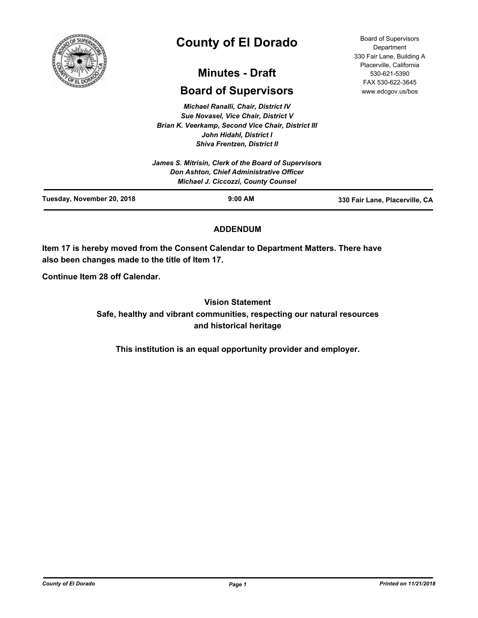

# **County of El Dorado**

## **Minutes - Draft**

## **Board of Supervisors**

*Michael Ranalli, Chair, District IV Sue Novasel, Vice Chair, District V Brian K. Veerkamp, Second Vice Chair, District III John Hidahl, District I Shiva Frentzen, District II*

## **ADDENDUM**

**Item 17 is hereby moved from the Consent Calendar to Department Matters. There have also been changes made to the title of Item 17.**

**Continue Item 28 off Calendar.**

**Vision Statement Safe, healthy and vibrant communities, respecting our natural resources and historical heritage**

**This institution is an equal opportunity provider and employer.**

Board of Supervisors **Department** 330 Fair Lane, Building A Placerville, California 530-621-5390 FAX 530-622-3645 www.edcgov.us/bos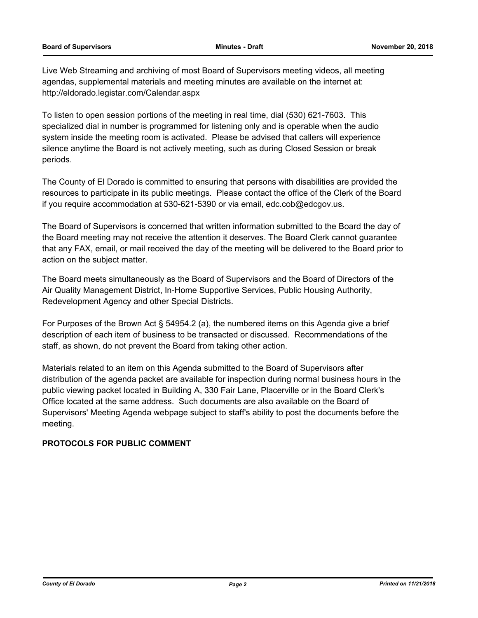Live Web Streaming and archiving of most Board of Supervisors meeting videos, all meeting agendas, supplemental materials and meeting minutes are available on the internet at: http://eldorado.legistar.com/Calendar.aspx

To listen to open session portions of the meeting in real time, dial (530) 621-7603. This specialized dial in number is programmed for listening only and is operable when the audio system inside the meeting room is activated. Please be advised that callers will experience silence anytime the Board is not actively meeting, such as during Closed Session or break periods.

The County of El Dorado is committed to ensuring that persons with disabilities are provided the resources to participate in its public meetings. Please contact the office of the Clerk of the Board if you require accommodation at 530-621-5390 or via email, edc.cob@edcgov.us.

The Board of Supervisors is concerned that written information submitted to the Board the day of the Board meeting may not receive the attention it deserves. The Board Clerk cannot guarantee that any FAX, email, or mail received the day of the meeting will be delivered to the Board prior to action on the subject matter.

The Board meets simultaneously as the Board of Supervisors and the Board of Directors of the Air Quality Management District, In-Home Supportive Services, Public Housing Authority, Redevelopment Agency and other Special Districts.

For Purposes of the Brown Act § 54954.2 (a), the numbered items on this Agenda give a brief description of each item of business to be transacted or discussed. Recommendations of the staff, as shown, do not prevent the Board from taking other action.

Materials related to an item on this Agenda submitted to the Board of Supervisors after distribution of the agenda packet are available for inspection during normal business hours in the public viewing packet located in Building A, 330 Fair Lane, Placerville or in the Board Clerk's Office located at the same address. Such documents are also available on the Board of Supervisors' Meeting Agenda webpage subject to staff's ability to post the documents before the meeting.

### **PROTOCOLS FOR PUBLIC COMMENT**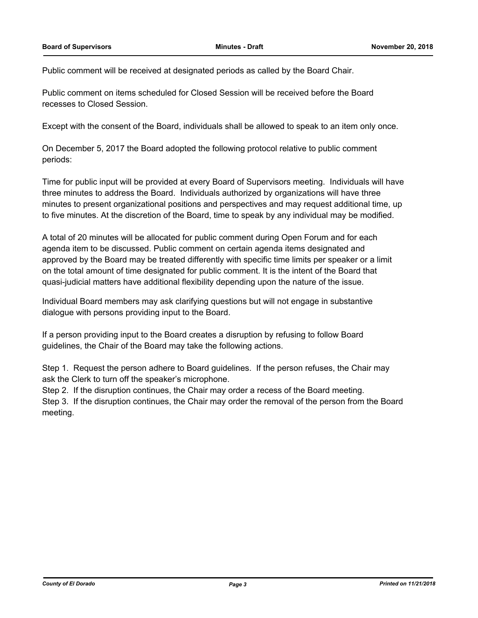Public comment will be received at designated periods as called by the Board Chair.

Public comment on items scheduled for Closed Session will be received before the Board recesses to Closed Session.

Except with the consent of the Board, individuals shall be allowed to speak to an item only once.

On December 5, 2017 the Board adopted the following protocol relative to public comment periods:

Time for public input will be provided at every Board of Supervisors meeting. Individuals will have three minutes to address the Board. Individuals authorized by organizations will have three minutes to present organizational positions and perspectives and may request additional time, up to five minutes. At the discretion of the Board, time to speak by any individual may be modified.

A total of 20 minutes will be allocated for public comment during Open Forum and for each agenda item to be discussed. Public comment on certain agenda items designated and approved by the Board may be treated differently with specific time limits per speaker or a limit on the total amount of time designated for public comment. It is the intent of the Board that quasi-judicial matters have additional flexibility depending upon the nature of the issue.

Individual Board members may ask clarifying questions but will not engage in substantive dialogue with persons providing input to the Board.

If a person providing input to the Board creates a disruption by refusing to follow Board guidelines, the Chair of the Board may take the following actions.

Step 1. Request the person adhere to Board guidelines. If the person refuses, the Chair may ask the Clerk to turn off the speaker's microphone.

Step 2. If the disruption continues, the Chair may order a recess of the Board meeting.

Step 3. If the disruption continues, the Chair may order the removal of the person from the Board meeting.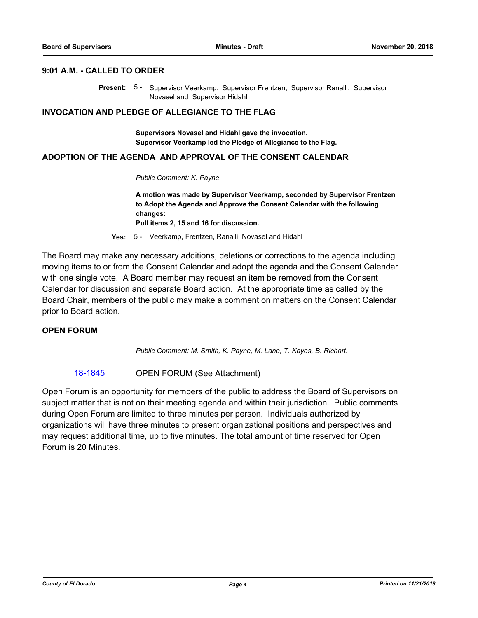#### **9:01 A.M. - CALLED TO ORDER**

Present: 5 - Supervisor Veerkamp, Supervisor Frentzen, Supervisor Ranalli, Supervisor Novasel and Supervisor Hidahl

#### **INVOCATION AND PLEDGE OF ALLEGIANCE TO THE FLAG**

**Supervisors Novasel and Hidahl gave the invocation. Supervisor Veerkamp led the Pledge of Allegiance to the Flag.**

#### **ADOPTION OF THE AGENDA AND APPROVAL OF THE CONSENT CALENDAR**

*Public Comment: K. Payne*

**A motion was made by Supervisor Veerkamp, seconded by Supervisor Frentzen to Adopt the Agenda and Approve the Consent Calendar with the following changes:**

**Pull items 2, 15 and 16 for discussion.**

**Yes:** 5 - Veerkamp, Frentzen, Ranalli, Novasel and Hidahl

The Board may make any necessary additions, deletions or corrections to the agenda including moving items to or from the Consent Calendar and adopt the agenda and the Consent Calendar with one single vote. A Board member may request an item be removed from the Consent Calendar for discussion and separate Board action. At the appropriate time as called by the Board Chair, members of the public may make a comment on matters on the Consent Calendar prior to Board action.

#### **OPEN FORUM**

*Public Comment: M. Smith, K. Payne, M. Lane, T. Kayes, B. Richart.*

[18-1845](http://eldorado.legistar.com/gateway.aspx?m=l&id=/matter.aspx?key=25195) **OPEN FORUM** (See Attachment)

Open Forum is an opportunity for members of the public to address the Board of Supervisors on subject matter that is not on their meeting agenda and within their jurisdiction. Public comments during Open Forum are limited to three minutes per person. Individuals authorized by organizations will have three minutes to present organizational positions and perspectives and may request additional time, up to five minutes. The total amount of time reserved for Open Forum is 20 Minutes.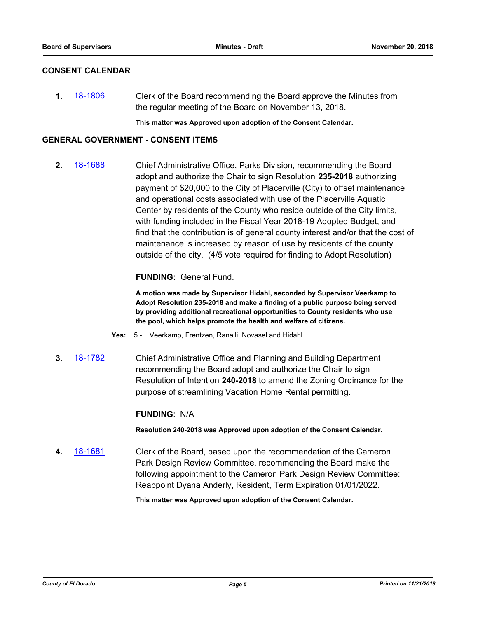#### **CONSENT CALENDAR**

**1.** [18-1806](http://eldorado.legistar.com/gateway.aspx?m=l&id=/matter.aspx?key=25157) Clerk of the Board recommending the Board approve the Minutes from the regular meeting of the Board on November 13, 2018.

**This matter was Approved upon adoption of the Consent Calendar.**

#### **GENERAL GOVERNMENT - CONSENT ITEMS**

**2.** [18-1688](http://eldorado.legistar.com/gateway.aspx?m=l&id=/matter.aspx?key=25039) Chief Administrative Office, Parks Division, recommending the Board adopt and authorize the Chair to sign Resolution **235-2018** authorizing payment of \$20,000 to the City of Placerville (City) to offset maintenance and operational costs associated with use of the Placerville Aquatic Center by residents of the County who reside outside of the City limits, with funding included in the Fiscal Year 2018-19 Adopted Budget, and find that the contribution is of general county interest and/or that the cost of maintenance is increased by reason of use by residents of the county outside of the city. (4/5 vote required for finding to Adopt Resolution)

#### **FUNDING:** General Fund.

**A motion was made by Supervisor Hidahl, seconded by Supervisor Veerkamp to Adopt Resolution 235-2018 and make a finding of a public purpose being served by providing additional recreational opportunities to County residents who use the pool, which helps promote the health and welfare of citizens.**

- **Yes:** 5 Veerkamp, Frentzen, Ranalli, Novasel and Hidahl
- **3.** [18-1782](http://eldorado.legistar.com/gateway.aspx?m=l&id=/matter.aspx?key=25133) Chief Administrative Office and Planning and Building Department recommending the Board adopt and authorize the Chair to sign Resolution of Intention **240-2018** to amend the Zoning Ordinance for the purpose of streamlining Vacation Home Rental permitting.

#### **FUNDING**: N/A

**Resolution 240-2018 was Approved upon adoption of the Consent Calendar.**

**4.** [18-1681](http://eldorado.legistar.com/gateway.aspx?m=l&id=/matter.aspx?key=25032) Clerk of the Board, based upon the recommendation of the Cameron Park Design Review Committee, recommending the Board make the following appointment to the Cameron Park Design Review Committee: Reappoint Dyana Anderly, Resident, Term Expiration 01/01/2022.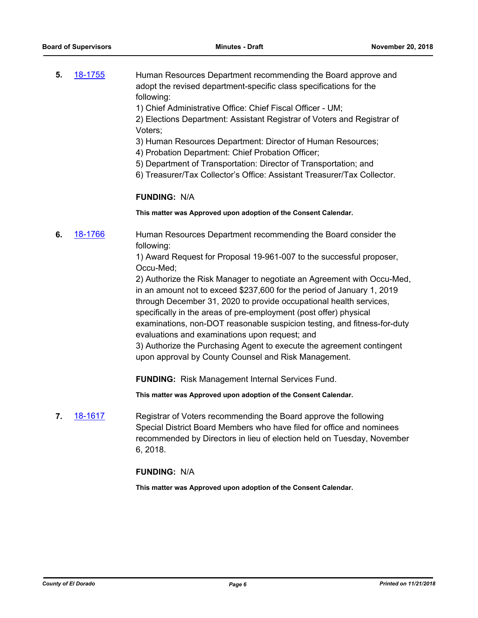- **5.** [18-1755](http://eldorado.legistar.com/gateway.aspx?m=l&id=/matter.aspx?key=25106) Human Resources Department recommending the Board approve and adopt the revised department-specific class specifications for the following:
	- 1) Chief Administrative Office: Chief Fiscal Officer UM;

2) Elections Department: Assistant Registrar of Voters and Registrar of Voters;

- 3) Human Resources Department: Director of Human Resources;
- 4) Probation Department: Chief Probation Officer;
- 5) Department of Transportation: Director of Transportation; and
- 6) Treasurer/Tax Collector's Office: Assistant Treasurer/Tax Collector.

#### **FUNDING:** N/A

**This matter was Approved upon adoption of the Consent Calendar.**

**6.** [18-1766](http://eldorado.legistar.com/gateway.aspx?m=l&id=/matter.aspx?key=25117) Human Resources Department recommending the Board consider the following:

> 1) Award Request for Proposal 19-961-007 to the successful proposer, Occu-Med;

2) Authorize the Risk Manager to negotiate an Agreement with Occu-Med, in an amount not to exceed \$237,600 for the period of January 1, 2019 through December 31, 2020 to provide occupational health services, specifically in the areas of pre-employment (post offer) physical examinations, non-DOT reasonable suspicion testing, and fitness-for-duty evaluations and examinations upon request; and

3) Authorize the Purchasing Agent to execute the agreement contingent upon approval by County Counsel and Risk Management.

**FUNDING:** Risk Management Internal Services Fund.

**This matter was Approved upon adoption of the Consent Calendar.**

**7.** [18-1617](http://eldorado.legistar.com/gateway.aspx?m=l&id=/matter.aspx?key=24968) Registrar of Voters recommending the Board approve the following Special District Board Members who have filed for office and nominees recommended by Directors in lieu of election held on Tuesday, November 6, 2018.

#### **FUNDING:** N/A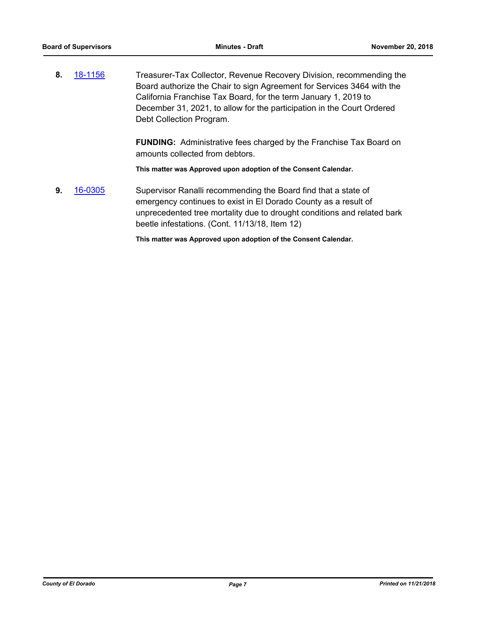**8.** [18-1156](http://eldorado.legistar.com/gateway.aspx?m=l&id=/matter.aspx?key=24506) Treasurer-Tax Collector, Revenue Recovery Division, recommending the Board authorize the Chair to sign Agreement for Services 3464 with the California Franchise Tax Board, for the term January 1, 2019 to December 31, 2021, to allow for the participation in the Court Ordered Debt Collection Program.

> **FUNDING:** Administrative fees charged by the Franchise Tax Board on amounts collected from debtors.

**This matter was Approved upon adoption of the Consent Calendar.**

**9.** [16-0305](http://eldorado.legistar.com/gateway.aspx?m=l&id=/matter.aspx?key=20961) Supervisor Ranalli recommending the Board find that a state of emergency continues to exist in El Dorado County as a result of unprecedented tree mortality due to drought conditions and related bark beetle infestations. (Cont. 11/13/18, Item 12)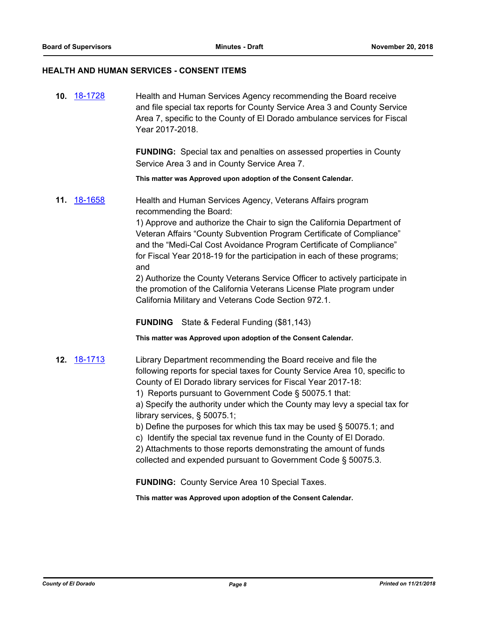## **HEALTH AND HUMAN SERVICES - CONSENT ITEMS**

| 10. 18-1728 | Health and Human Services Agency recommending the Board receive<br>and file special tax reports for County Service Area 3 and County Service<br>Area 7, specific to the County of El Dorado ambulance services for Fiscal<br>Year 2017-2018.<br><b>FUNDING:</b> Special tax and penalties on assessed properties in County<br>Service Area 3 and in County Service Area 7.                                                                                                                                                                                                                                                                                                                                                                 |
|-------------|--------------------------------------------------------------------------------------------------------------------------------------------------------------------------------------------------------------------------------------------------------------------------------------------------------------------------------------------------------------------------------------------------------------------------------------------------------------------------------------------------------------------------------------------------------------------------------------------------------------------------------------------------------------------------------------------------------------------------------------------|
|             | This matter was Approved upon adoption of the Consent Calendar.                                                                                                                                                                                                                                                                                                                                                                                                                                                                                                                                                                                                                                                                            |
| 11. 18-1658 | Health and Human Services Agency, Veterans Affairs program<br>recommending the Board:<br>1) Approve and authorize the Chair to sign the California Department of<br>Veteran Affairs "County Subvention Program Certificate of Compliance"<br>and the "Medi-Cal Cost Avoidance Program Certificate of Compliance"<br>for Fiscal Year 2018-19 for the participation in each of these programs;<br>and<br>2) Authorize the County Veterans Service Officer to actively participate in<br>the promotion of the California Veterans License Plate program under<br>California Military and Veterans Code Section 972.1.<br><b>FUNDING</b> State & Federal Funding (\$81,143)<br>This matter was Approved upon adoption of the Consent Calendar. |
| 12. 18-1713 | Library Department recommending the Board receive and file the<br>following reports for special taxes for County Service Area 10, specific to<br>County of El Dorado library services for Fiscal Year 2017-18:<br>1) Reports pursuant to Government Code § 50075.1 that:<br>a) Specify the authority under which the County may levy a special tax for<br>library services, § 50075.1;<br>b) Define the purposes for which this tax may be used § 50075.1; and<br>c) Identify the special tax revenue fund in the County of El Dorado.<br>2) Attachments to those reports demonstrating the amount of funds<br>collected and expended pursuant to Government Code § 50075.3.<br><b>FUNDING:</b> County Service Area 10 Special Taxes.      |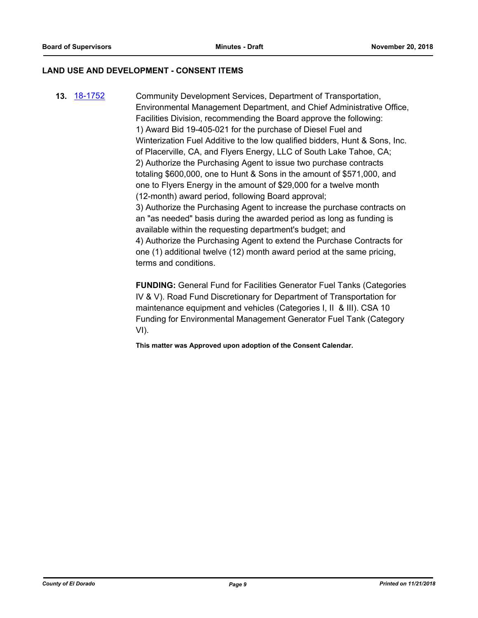#### **LAND USE AND DEVELOPMENT - CONSENT ITEMS**

**13.** [18-1752](http://eldorado.legistar.com/gateway.aspx?m=l&id=/matter.aspx?key=25103) Community Development Services, Department of Transportation, Environmental Management Department, and Chief Administrative Office, Facilities Division, recommending the Board approve the following: 1) Award Bid 19-405-021 for the purchase of Diesel Fuel and Winterization Fuel Additive to the low qualified bidders, Hunt & Sons, Inc. of Placerville, CA, and Flyers Energy, LLC of South Lake Tahoe, CA; 2) Authorize the Purchasing Agent to issue two purchase contracts totaling \$600,000, one to Hunt & Sons in the amount of \$571,000, and one to Flyers Energy in the amount of \$29,000 for a twelve month (12-month) award period, following Board approval; 3) Authorize the Purchasing Agent to increase the purchase contracts on an "as needed" basis during the awarded period as long as funding is available within the requesting department's budget; and 4) Authorize the Purchasing Agent to extend the Purchase Contracts for one (1) additional twelve (12) month award period at the same pricing, terms and conditions.

> **FUNDING:** General Fund for Facilities Generator Fuel Tanks (Categories IV & V). Road Fund Discretionary for Department of Transportation for maintenance equipment and vehicles (Categories I, II & III). CSA 10 Funding for Environmental Management Generator Fuel Tank (Category VI).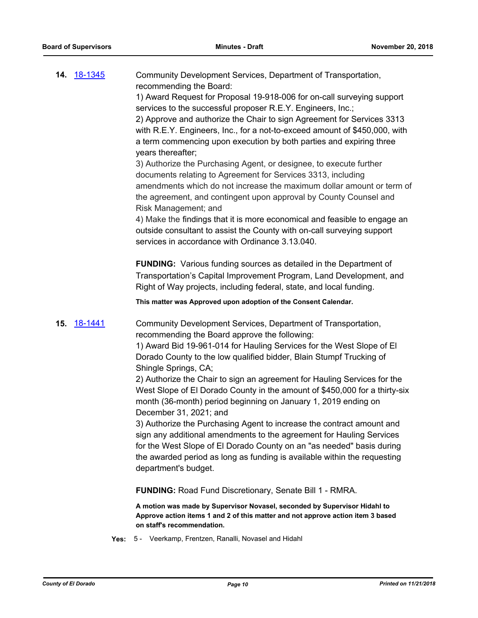| <b>14. 18-1345</b> |      | Community Development Services, Department of Transportation,<br>recommending the Board:<br>1) Award Request for Proposal 19-918-006 for on-call surveying support<br>services to the successful proposer R.E.Y. Engineers, Inc.;<br>2) Approve and authorize the Chair to sign Agreement for Services 3313<br>with R.E.Y. Engineers, Inc., for a not-to-exceed amount of \$450,000, with<br>a term commencing upon execution by both parties and expiring three<br>years thereafter;<br>3) Authorize the Purchasing Agent, or designee, to execute further<br>documents relating to Agreement for Services 3313, including<br>amendments which do not increase the maximum dollar amount or term of<br>the agreement, and contingent upon approval by County Counsel and<br>Risk Management; and<br>4) Make the findings that it is more economical and feasible to engage an<br>outside consultant to assist the County with on-call surveying support |
|--------------------|------|----------------------------------------------------------------------------------------------------------------------------------------------------------------------------------------------------------------------------------------------------------------------------------------------------------------------------------------------------------------------------------------------------------------------------------------------------------------------------------------------------------------------------------------------------------------------------------------------------------------------------------------------------------------------------------------------------------------------------------------------------------------------------------------------------------------------------------------------------------------------------------------------------------------------------------------------------------|
|                    |      | services in accordance with Ordinance 3.13.040.<br><b>FUNDING:</b> Various funding sources as detailed in the Department of<br>Transportation's Capital Improvement Program, Land Development, and<br>Right of Way projects, including federal, state, and local funding.                                                                                                                                                                                                                                                                                                                                                                                                                                                                                                                                                                                                                                                                                |
|                    |      | This matter was Approved upon adoption of the Consent Calendar.                                                                                                                                                                                                                                                                                                                                                                                                                                                                                                                                                                                                                                                                                                                                                                                                                                                                                          |
| <b>15. 18-1441</b> |      | Community Development Services, Department of Transportation,<br>recommending the Board approve the following:<br>1) Award Bid 19-961-014 for Hauling Services for the West Slope of El<br>Dorado County to the low qualified bidder, Blain Stumpf Trucking of<br>Shingle Springs, CA;<br>2) Authorize the Chair to sign an agreement for Hauling Services for the<br>West Slope of El Dorado County in the amount of \$450,000 for a thirty-six<br>month (36-month) period beginning on January 1, 2019 ending on<br>December 31, 2021; and<br>3) Authorize the Purchasing Agent to increase the contract amount and<br>sign any additional amendments to the agreement for Hauling Services<br>for the West Slope of El Dorado County on an "as needed" basis during<br>the awarded period as long as funding is available within the requesting<br>department's budget.                                                                               |
|                    |      | <b>FUNDING: Road Fund Discretionary, Senate Bill 1 - RMRA.</b>                                                                                                                                                                                                                                                                                                                                                                                                                                                                                                                                                                                                                                                                                                                                                                                                                                                                                           |
|                    |      | A motion was made by Supervisor Novasel, seconded by Supervisor Hidahl to<br>Approve action items 1 and 2 of this matter and not approve action item 3 based<br>on staff's recommendation.                                                                                                                                                                                                                                                                                                                                                                                                                                                                                                                                                                                                                                                                                                                                                               |
|                    | Yes: | 5 - Veerkamp, Frentzen, Ranalli, Novasel and Hidahl                                                                                                                                                                                                                                                                                                                                                                                                                                                                                                                                                                                                                                                                                                                                                                                                                                                                                                      |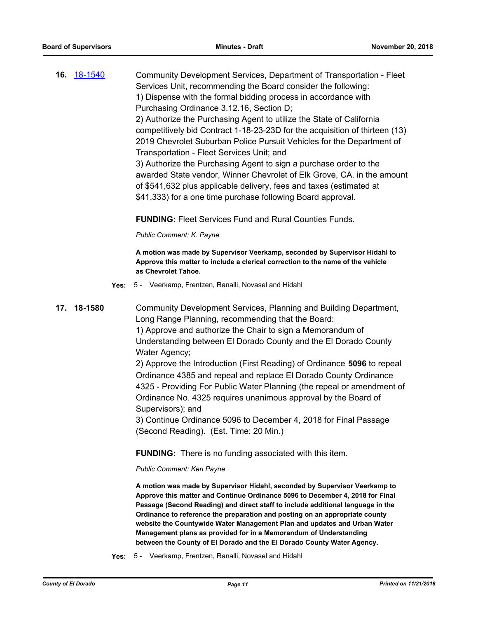**16.** [18-1540](http://eldorado.legistar.com/gateway.aspx?m=l&id=/matter.aspx?key=24891) Community Development Services, Department of Transportation - Fleet Services Unit, recommending the Board consider the following: 1) Dispense with the formal bidding process in accordance with Purchasing Ordinance 3.12.16, Section D; 2) Authorize the Purchasing Agent to utilize the State of California competitively bid Contract 1-18-23-23D for the acquisition of thirteen (13) 2019 Chevrolet Suburban Police Pursuit Vehicles for the Department of Transportation - Fleet Services Unit; and 3) Authorize the Purchasing Agent to sign a purchase order to the awarded State vendor, Winner Chevrolet of Elk Grove, CA. in the amount of \$541,632 plus applicable delivery, fees and taxes (estimated at \$41,333) for a one time purchase following Board approval.

**FUNDING:** Fleet Services Fund and Rural Counties Funds.

*Public Comment: K. Payne*

**A motion was made by Supervisor Veerkamp, seconded by Supervisor Hidahl to Approve this matter to include a clerical correction to the name of the vehicle as Chevrolet Tahoe.**

- **Yes:** 5 Veerkamp, Frentzen, Ranalli, Novasel and Hidahl
- **17. 18-1580** Community Development Services, Planning and Building Department, Long Range Planning, recommending that the Board: 1) Approve and authorize the Chair to sign a Memorandum of Understanding between El Dorado County and the El Dorado County Water Agency;

2) Approve the Introduction (First Reading) of Ordinance **5096** to repeal Ordinance 4385 and repeal and replace El Dorado County Ordinance 4325 - Providing For Public Water Planning (the repeal or amendment of Ordinance No. 4325 requires unanimous approval by the Board of Supervisors); and

3) Continue Ordinance 5096 to December 4, 2018 for Final Passage (Second Reading). (Est. Time: 20 Min.)

**FUNDING:** There is no funding associated with this item.

*Public Comment: Ken Payne*

**A motion was made by Supervisor Hidahl, seconded by Supervisor Veerkamp to Approve this matter and Continue Ordinance 5096 to December 4, 2018 for Final Passage (Second Reading) and direct staff to include additional language in the Ordinance to reference the preparation and posting on an appropriate county website the Countywide Water Management Plan and updates and Urban Water Management plans as provided for in a Memorandum of Understanding between the County of El Dorado and the El Dorado County Water Agency.**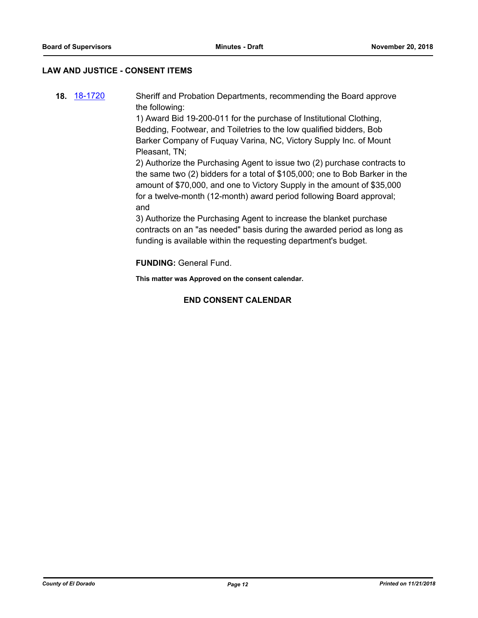#### **LAW AND JUSTICE - CONSENT ITEMS**

**18.** [18-1720](http://eldorado.legistar.com/gateway.aspx?m=l&id=/matter.aspx?key=25071) Sheriff and Probation Departments, recommending the Board approve the following: 1) Award Bid 19-200-011 for the purchase of Institutional Clothing, Bedding, Footwear, and Toiletries to the low qualified bidders, Bob Barker Company of Fuquay Varina, NC, Victory Supply Inc. of Mount

Pleasant, TN; 2) Authorize the Purchasing Agent to issue two (2) purchase contracts to the same two (2) bidders for a total of \$105,000; one to Bob Barker in the amount of \$70,000, and one to Victory Supply in the amount of \$35,000

for a twelve-month (12-month) award period following Board approval; and

3) Authorize the Purchasing Agent to increase the blanket purchase contracts on an "as needed" basis during the awarded period as long as funding is available within the requesting department's budget.

**FUNDING:** General Fund.

**This matter was Approved on the consent calendar.**

#### **END CONSENT CALENDAR**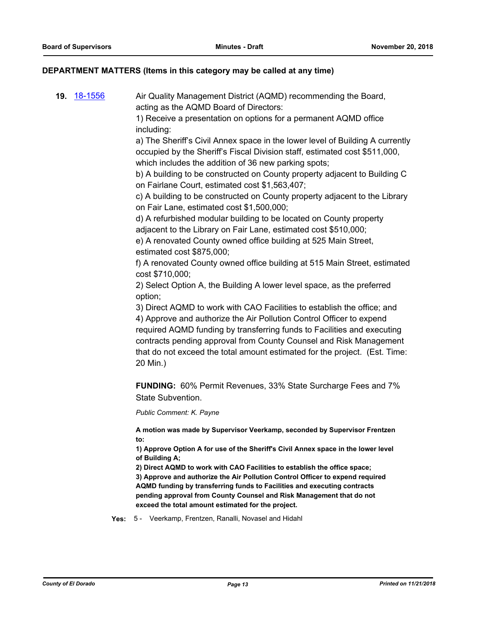#### **DEPARTMENT MATTERS (Items in this category may be called at any time)**

**19.** [18-1556](http://eldorado.legistar.com/gateway.aspx?m=l&id=/matter.aspx?key=24907) Air Quality Management District (AQMD) recommending the Board, acting as the AQMD Board of Directors:

> 1) Receive a presentation on options for a permanent AQMD office including:

a) The Sheriff's Civil Annex space in the lower level of Building A currently occupied by the Sheriff's Fiscal Division staff, estimated cost \$511,000, which includes the addition of 36 new parking spots;

b) A building to be constructed on County property adjacent to Building C on Fairlane Court, estimated cost \$1,563,407;

c) A building to be constructed on County property adjacent to the Library on Fair Lane, estimated cost \$1,500,000;

d) A refurbished modular building to be located on County property adjacent to the Library on Fair Lane, estimated cost \$510,000;

e) A renovated County owned office building at 525 Main Street, estimated cost \$875,000;

f) A renovated County owned office building at 515 Main Street, estimated cost \$710,000;

2) Select Option A, the Building A lower level space, as the preferred option;

3) Direct AQMD to work with CAO Facilities to establish the office; and 4) Approve and authorize the Air Pollution Control Officer to expend required AQMD funding by transferring funds to Facilities and executing contracts pending approval from County Counsel and Risk Management that do not exceed the total amount estimated for the project. (Est. Time: 20 Min.)

**FUNDING:** 60% Permit Revenues, 33% State Surcharge Fees and 7% State Subvention.

*Public Comment: K. Payne*

**A motion was made by Supervisor Veerkamp, seconded by Supervisor Frentzen to:**

**1) Approve Option A for use of the Sheriff's Civil Annex space in the lower level of Building A;**

**2) Direct AQMD to work with CAO Facilities to establish the office space; 3) Approve and authorize the Air Pollution Control Officer to expend required AQMD funding by transferring funds to Facilities and executing contracts pending approval from County Counsel and Risk Management that do not exceed the total amount estimated for the project.**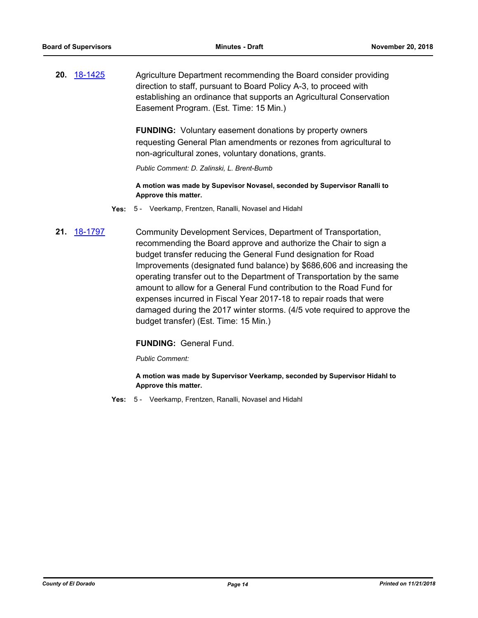**20.** [18-1425](http://eldorado.legistar.com/gateway.aspx?m=l&id=/matter.aspx?key=24777) Agriculture Department recommending the Board consider providing direction to staff, pursuant to Board Policy A-3, to proceed with establishing an ordinance that supports an Agricultural Conservation Easement Program. (Est. Time: 15 Min.)

> **FUNDING:** Voluntary easement donations by property owners requesting General Plan amendments or rezones from agricultural to non-agricultural zones, voluntary donations, grants.

*Public Comment: D. Zalinski, L. Brent-Bumb*

**A motion was made by Supevisor Novasel, seconded by Supervisor Ranalli to Approve this matter.**

- **Yes:** 5 Veerkamp, Frentzen, Ranalli, Novasel and Hidahl
- **21.** [18-1797](http://eldorado.legistar.com/gateway.aspx?m=l&id=/matter.aspx?key=25148) Community Development Services, Department of Transportation, recommending the Board approve and authorize the Chair to sign a budget transfer reducing the General Fund designation for Road Improvements (designated fund balance) by \$686,606 and increasing the operating transfer out to the Department of Transportation by the same amount to allow for a General Fund contribution to the Road Fund for expenses incurred in Fiscal Year 2017-18 to repair roads that were damaged during the 2017 winter storms. (4/5 vote required to approve the budget transfer) (Est. Time: 15 Min.)

#### **FUNDING:** General Fund.

*Public Comment:*

**A motion was made by Supervisor Veerkamp, seconded by Supervisor Hidahl to Approve this matter.**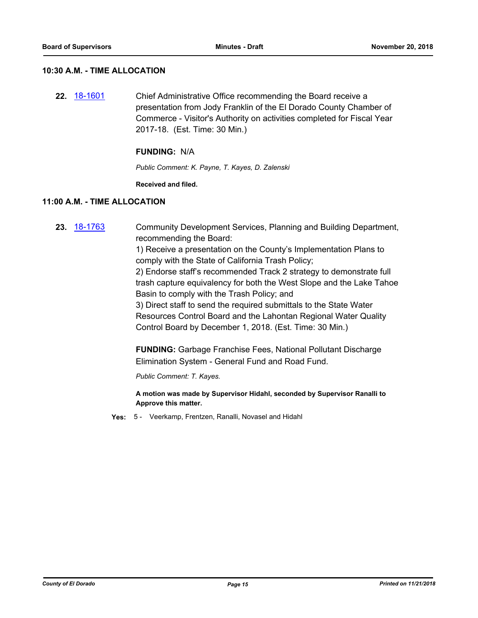#### **10:30 A.M. - TIME ALLOCATION**

**22.** [18-1601](http://eldorado.legistar.com/gateway.aspx?m=l&id=/matter.aspx?key=24952) Chief Administrative Office recommending the Board receive a presentation from Jody Franklin of the El Dorado County Chamber of Commerce - Visitor's Authority on activities completed for Fiscal Year 2017-18. (Est. Time: 30 Min.)

#### **FUNDING:** N/A

*Public Comment: K. Payne, T. Kayes, D. Zalenski*

**Received and filed.**

#### **11:00 A.M. - TIME ALLOCATION**

- **23.** [18-1763](http://eldorado.legistar.com/gateway.aspx?m=l&id=/matter.aspx?key=25114) Community Development Services, Planning and Building Department, recommending the Board: 1) Receive a presentation on the County's Implementation Plans to comply with the State of California Trash Policy; 2) Endorse staff's recommended Track 2 strategy to demonstrate full trash capture equivalency for both the West Slope and the Lake Tahoe Basin to comply with the Trash Policy; and 3) Direct staff to send the required submittals to the State Water Resources Control Board and the Lahontan Regional Water Quality Control Board by December 1, 2018. (Est. Time: 30 Min.) **FUNDING:** Garbage Franchise Fees, National Pollutant Discharge Elimination System - General Fund and Road Fund. *Public Comment: T. Kayes.* **A motion was made by Supervisor Hidahl, seconded by Supervisor Ranalli to Approve this matter.**
	- **Yes:** 5 Veerkamp, Frentzen, Ranalli, Novasel and Hidahl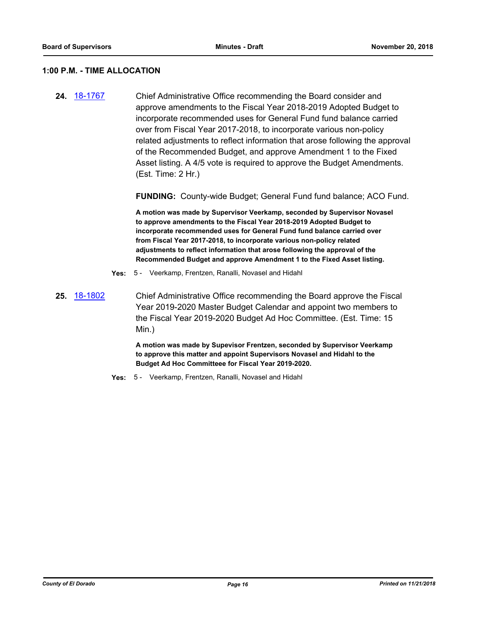#### **1:00 P.M. - TIME ALLOCATION**

**24.** [18-1767](http://eldorado.legistar.com/gateway.aspx?m=l&id=/matter.aspx?key=25118) Chief Administrative Office recommending the Board consider and approve amendments to the Fiscal Year 2018-2019 Adopted Budget to incorporate recommended uses for General Fund fund balance carried over from Fiscal Year 2017-2018, to incorporate various non-policy related adjustments to reflect information that arose following the approval of the Recommended Budget, and approve Amendment 1 to the Fixed Asset listing. A 4/5 vote is required to approve the Budget Amendments. (Est. Time: 2 Hr.)

**FUNDING:** County-wide Budget; General Fund fund balance; ACO Fund.

**A motion was made by Supervisor Veerkamp, seconded by Supervisor Novasel to approve amendments to the Fiscal Year 2018-2019 Adopted Budget to incorporate recommended uses for General Fund fund balance carried over from Fiscal Year 2017-2018, to incorporate various non-policy related adjustments to reflect information that arose following the approval of the Recommended Budget and approve Amendment 1 to the Fixed Asset listing.**

- **Yes:** 5 Veerkamp, Frentzen, Ranalli, Novasel and Hidahl
- **25.** [18-1802](http://eldorado.legistar.com/gateway.aspx?m=l&id=/matter.aspx?key=25153) Chief Administrative Office recommending the Board approve the Fiscal Year 2019-2020 Master Budget Calendar and appoint two members to the Fiscal Year 2019-2020 Budget Ad Hoc Committee. (Est. Time: 15 Min.)

**A motion was made by Supevisor Frentzen, seconded by Supervisor Veerkamp to approve this matter and appoint Supervisors Novasel and Hidahl to the Budget Ad Hoc Committeee for Fiscal Year 2019-2020.**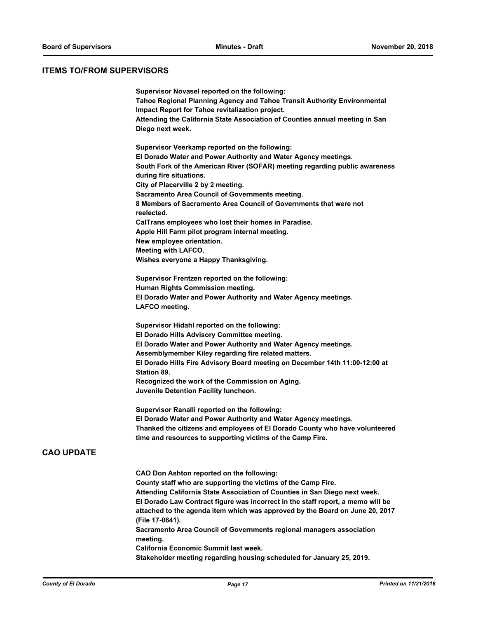#### **ITEMS TO/FROM SUPERVISORS**

| Supervisor Novasel reported on the following:<br>Tahoe Regional Planning Agency and Tahoe Transit Authority Environmental<br>Impact Report for Tahoe revitalization project.<br>Attending the California State Association of Counties annual meeting in San<br>Diego next week. |  |
|----------------------------------------------------------------------------------------------------------------------------------------------------------------------------------------------------------------------------------------------------------------------------------|--|
| Supervisor Veerkamp reported on the following:<br>El Dorado Water and Power Authority and Water Agency meetings.<br>South Fork of the American River (SOFAR) meeting regarding public awareness<br>during fire situations.                                                       |  |
| City of Placerville 2 by 2 meeting.                                                                                                                                                                                                                                              |  |
| Sacramento Area Council of Governments meeting.                                                                                                                                                                                                                                  |  |
| 8 Members of Sacramento Area Council of Governments that were not<br>reelected.                                                                                                                                                                                                  |  |
| CalTrans employees who lost their homes in Paradise.                                                                                                                                                                                                                             |  |
| Apple Hill Farm pilot program internal meeting.                                                                                                                                                                                                                                  |  |
| New employee orientation.                                                                                                                                                                                                                                                        |  |
| <b>Meeting with LAFCO.</b>                                                                                                                                                                                                                                                       |  |
| Wishes everyone a Happy Thanksgiving.                                                                                                                                                                                                                                            |  |
| <b>Supervisor Frentzen reported on the following:</b>                                                                                                                                                                                                                            |  |
| Human Rights Commission meeting.                                                                                                                                                                                                                                                 |  |
| El Dorado Water and Power Authority and Water Agency meetings.                                                                                                                                                                                                                   |  |
| LAFCO meeting.                                                                                                                                                                                                                                                                   |  |
| Supervisor Hidahl reported on the following:<br>El Dorado Hills Advisory Committee meeting.<br>El Dorado Water and Power Authority and Water Agency meetings.                                                                                                                    |  |
| Assemblymember Kiley regarding fire related matters.                                                                                                                                                                                                                             |  |
| El Dorado Hills Fire Advisory Board meeting on December 14th 11:00-12:00 at<br>Station 89.                                                                                                                                                                                       |  |
| Recognized the work of the Commission on Aging.                                                                                                                                                                                                                                  |  |
| Juvenile Detention Facility luncheon.                                                                                                                                                                                                                                            |  |
| Supervisor Ranalli reported on the following:                                                                                                                                                                                                                                    |  |
| El Dorado Water and Power Authority and Water Agency meetings.<br>Thanked the citizens and employees of El Dorado County who have volunteered                                                                                                                                    |  |
| time and resources to supporting victims of the Camp Fire.                                                                                                                                                                                                                       |  |
|                                                                                                                                                                                                                                                                                  |  |
| <b>CAO Don Ashton reported on the following:</b>                                                                                                                                                                                                                                 |  |
| County staff who are supporting the victims of the Camp Fire.                                                                                                                                                                                                                    |  |
| Attending California State Association of Counties in San Diego next week.                                                                                                                                                                                                       |  |
| El Dorado Law Contract figure was incorrect in the staff report, a memo will be                                                                                                                                                                                                  |  |
| attached to the agenda item which was approved by the Board on June 20, 2017<br>(File 17-0641).                                                                                                                                                                                  |  |
| Sacramento Area Council of Governments regional managers association                                                                                                                                                                                                             |  |
| meeting.<br>California Economic Summit last week.                                                                                                                                                                                                                                |  |
| Stakeholder meeting regarding housing scheduled for January 25, 2019.                                                                                                                                                                                                            |  |
|                                                                                                                                                                                                                                                                                  |  |

**CAO UPDATE**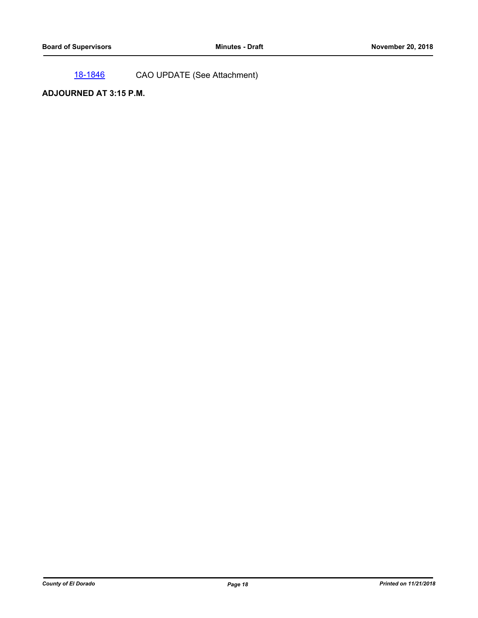[18-1846](http://eldorado.legistar.com/gateway.aspx?m=l&id=/matter.aspx?key=25196) CAO UPDATE (See Attachment)

## **ADJOURNED AT 3:15 P.M.**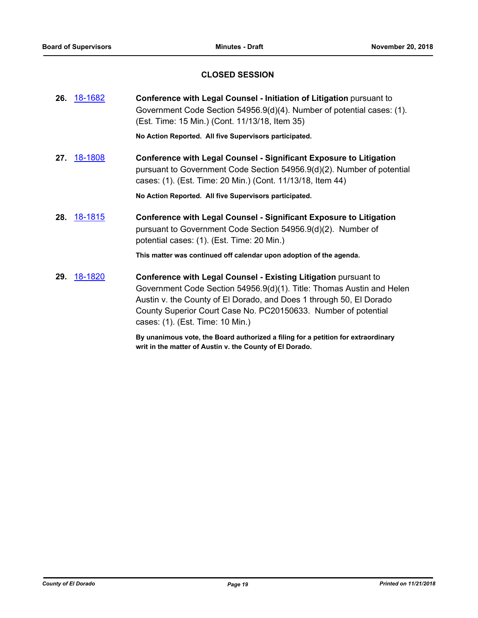## **CLOSED SESSION**

|     | <b>26.</b> 18-1682 | Conference with Legal Counsel - Initiation of Litigation pursuant to<br>Government Code Section 54956.9(d)(4). Number of potential cases: (1).<br>(Est. Time: 15 Min.) (Cont. 11/13/18, Item 35)                                                                                                                             |
|-----|--------------------|------------------------------------------------------------------------------------------------------------------------------------------------------------------------------------------------------------------------------------------------------------------------------------------------------------------------------|
|     |                    | No Action Reported. All five Supervisors participated.                                                                                                                                                                                                                                                                       |
| 27. | 18-1808            | <b>Conference with Legal Counsel - Significant Exposure to Litigation</b><br>pursuant to Government Code Section 54956.9(d)(2). Number of potential<br>cases: (1). (Est. Time: 20 Min.) (Cont. 11/13/18, Item 44)                                                                                                            |
|     |                    | No Action Reported. All five Supervisors participated.                                                                                                                                                                                                                                                                       |
|     | <b>28.</b> 18-1815 | <b>Conference with Legal Counsel - Significant Exposure to Litigation</b><br>pursuant to Government Code Section 54956.9(d)(2). Number of<br>potential cases: (1). (Est. Time: 20 Min.)                                                                                                                                      |
|     |                    | This matter was continued off calendar upon adoption of the agenda.                                                                                                                                                                                                                                                          |
| 29. | <u>18-1820</u>     | <b>Conference with Legal Counsel - Existing Litigation pursuant to</b><br>Government Code Section 54956.9(d)(1). Title: Thomas Austin and Helen<br>Austin v. the County of El Dorado, and Does 1 through 50, El Dorado<br>County Superior Court Case No. PC20150633. Number of potential<br>cases: (1). (Est. Time: 10 Min.) |

**By unanimous vote, the Board authorized a filing for a petition for extraordinary writ in the matter of Austin v. the County of El Dorado.**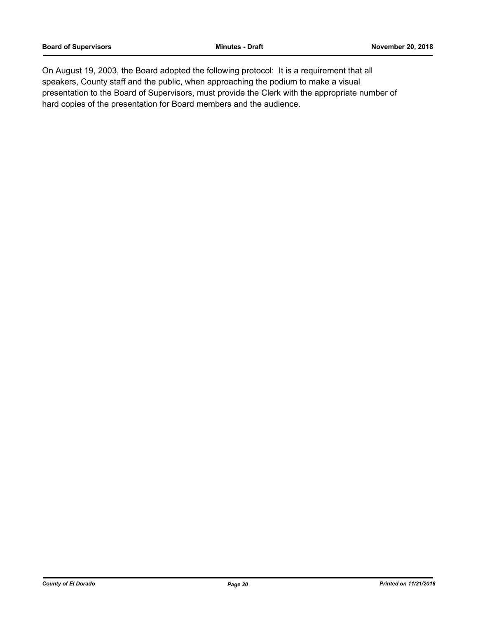On August 19, 2003, the Board adopted the following protocol: It is a requirement that all speakers, County staff and the public, when approaching the podium to make a visual presentation to the Board of Supervisors, must provide the Clerk with the appropriate number of hard copies of the presentation for Board members and the audience.